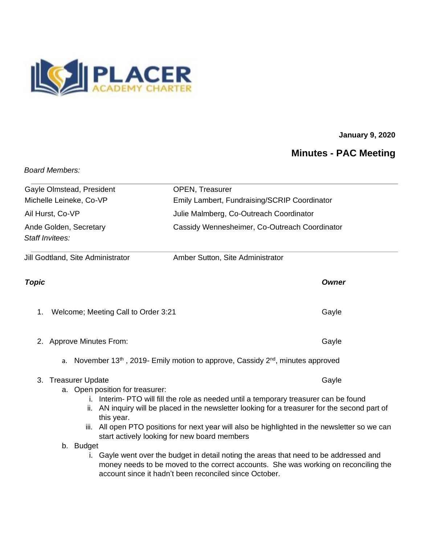

## **January 9, 2020**

## **Minutes - PAC Meeting**

## *Board Members:*

| Gayle Olmstead, President                                                      | <b>OPEN, Treasurer</b>                                                                                                                                                                                                                                                                                                                            |  |
|--------------------------------------------------------------------------------|---------------------------------------------------------------------------------------------------------------------------------------------------------------------------------------------------------------------------------------------------------------------------------------------------------------------------------------------------|--|
| Michelle Leineke, Co-VP                                                        | Emily Lambert, Fundraising/SCRIP Coordinator                                                                                                                                                                                                                                                                                                      |  |
| Ail Hurst, Co-VP<br>Ande Golden, Secretary<br>Staff Invitees:                  | Julie Malmberg, Co-Outreach Coordinator<br>Cassidy Wennesheimer, Co-Outreach Coordinator                                                                                                                                                                                                                                                          |  |
|                                                                                |                                                                                                                                                                                                                                                                                                                                                   |  |
| <b>Topic</b>                                                                   | <b>Owner</b>                                                                                                                                                                                                                                                                                                                                      |  |
| Welcome; Meeting Call to Order 3:21<br>1.                                      | Gayle                                                                                                                                                                                                                                                                                                                                             |  |
| <b>Approve Minutes From:</b><br>2.                                             | Gayle                                                                                                                                                                                                                                                                                                                                             |  |
|                                                                                | a. November 13 <sup>th</sup> , 2019- Emily motion to approve, Cassidy 2 <sup>nd</sup> , minutes approved                                                                                                                                                                                                                                          |  |
| <b>Treasurer Update</b><br>3.<br>a. Open position for treasurer:<br>this year. | Gayle<br>i. Interim-PTO will fill the role as needed until a temporary treasurer can be found<br>ii. AN inquiry will be placed in the newsletter looking for a treasurer for the second part of<br>iii. All open PTO positions for next year will also be highlighted in the newsletter so we can<br>start actively looking for new board members |  |
| b. Budget<br>İ.                                                                | Gayle went over the budget in detail noting the areas that need to be addressed and<br>money needs to be moved to the correct accounts. She was working on reconciling the                                                                                                                                                                        |  |

account since it hadn't been reconciled since October.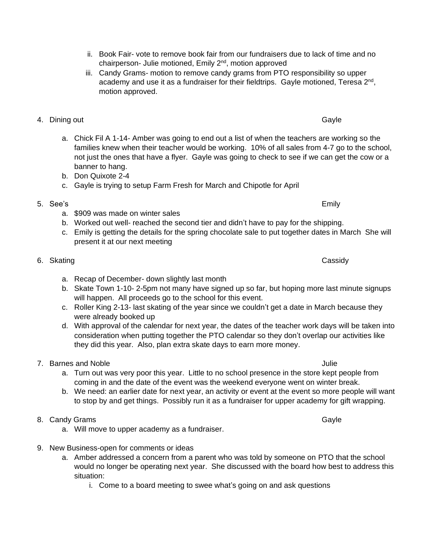iii. Candy Grams- motion to remove candy grams from PTO responsibility so upper academy and use it as a fundraiser for their fieldtrips. Gayle motioned, Teresa 2<sup>nd</sup>, motion approved.

a. Chick Fil A 1-14- Amber was going to end out a list of when the teachers are working so the families knew when their teacher would be working. 10% of all sales from 4-7 go to the school, not just the ones that have a flyer. Gayle was going to check to see if we can get the cow or a banner to hang.

- b. Don Quixote 2-4
- c. Gayle is trying to setup Farm Fresh for March and Chipotle for April
- 5. See's Emily
	- a. \$909 was made on winter sales
	- b. Worked out well- reached the second tier and didn't have to pay for the shipping.
	- c. Emily is getting the details for the spring chocolate sale to put together dates in March She will present it at our next meeting
- 6. Skating **Cassidy Cassidy Cassidy Cassidy Cassidy Cassidy Cassidy Cassidy Cassidy** 
	- a. Recap of December- down slightly last month
	- b. Skate Town 1-10- 2-5pm not many have signed up so far, but hoping more last minute signups will happen. All proceeds go to the school for this event.
	- c. Roller King 2-13- last skating of the year since we couldn't get a date in March because they were already booked up
	- d. With approval of the calendar for next year, the dates of the teacher work days will be taken into consideration when putting together the PTO calendar so they don't overlap our activities like they did this year. Also, plan extra skate days to earn more money.
- 7. Barnes and Noble Julie 1999 and Annual Communications and Annual Communications of the United States of Tuli
	- a. Turn out was very poor this year. Little to no school presence in the store kept people from coming in and the date of the event was the weekend everyone went on winter break.
	- b. We need: an earlier date for next year, an activity or event at the event so more people will want to stop by and get things. Possibly run it as a fundraiser for upper academy for gift wrapping.
- 8. Candy Grams Gayle
	- a. Will move to upper academy as a fundraiser.
- 9. New Business-open for comments or ideas
	- a. Amber addressed a concern from a parent who was told by someone on PTO that the school would no longer be operating next year. She discussed with the board how best to address this situation:
		- i. Come to a board meeting to swee what's going on and ask questions

4. Dining out Gayle and Gayle and Gayle and Gayle and Gayle and Gayle and Gayle and Gayle and Gayle